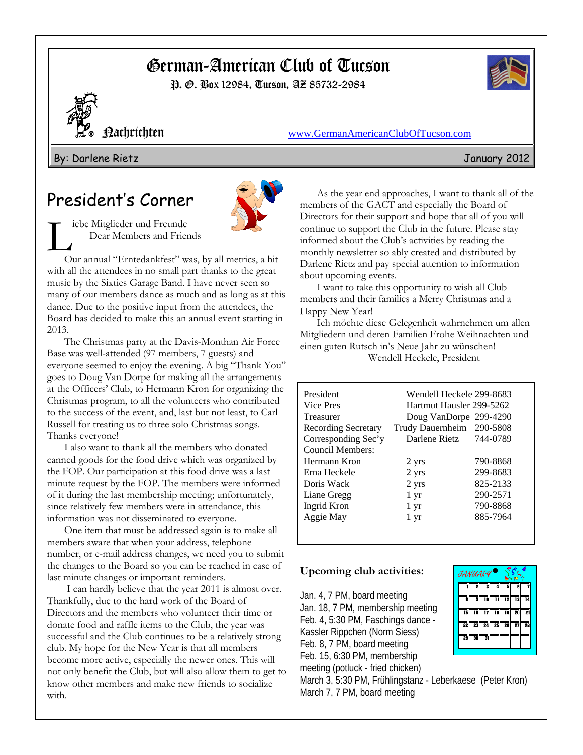# German-American Club of Tucson

P. O. Box 12984, Tucson, AZ 85732-2984





Nachrichten www.GermanAmericanClubOfTucson.com

By: Darlene Rietz January 2012

# President's Corner



iebe Mitglieder und Freunde Dear Members and Friends

Our annual "Erntedankfest" was, by all metrics, a hit with all the attendees in no small part thanks to the great music by the Sixties Garage Band. I have never seen so many of our members dance as much and as long as at this dance. Due to the positive input from the attendees, the Board has decided to make this an annual event starting in 2013.

The Christmas party at the Davis-Monthan Air Force Base was well-attended (97 members, 7 guests) and everyone seemed to enjoy the evening. A big "Thank You" goes to Doug Van Dorpe for making all the arrangements at the Officers' Club, to Hermann Kron for organizing the Christmas program, to all the volunteers who contributed to the success of the event, and, last but not least, to Carl Russell for treating us to three solo Christmas songs. Thanks everyone!

I also want to thank all the members who donated canned goods for the food drive which was organized by the FOP. Our participation at this food drive was a last minute request by the FOP. The members were informed of it during the last membership meeting; unfortunately, since relatively few members were in attendance, this information was not disseminated to everyone.

One item that must be addressed again is to make all members aware that when your address, telephone number, or e-mail address changes, we need you to submit the changes to the Board so you can be reached in case of last minute changes or important reminders.

 I can hardly believe that the year 2011 is almost over. Thankfully, due to the hard work of the Board of Directors and the members who volunteer their time or donate food and raffle items to the Club, the year was successful and the Club continues to be a relatively strong club. My hope for the New Year is that all members become more active, especially the newer ones. This will not only benefit the Club, but will also allow them to get to know other members and make new friends to socialize with.

As the year end approaches, I want to thank all of the members of the GACT and especially the Board of Directors for their support and hope that all of you will continue to support the Club in the future. Please stay informed about the Club's activities by reading the monthly newsletter so ably created and distributed by Darlene Rietz and pay special attention to information about upcoming events.

I want to take this opportunity to wish all Club members and their families a Merry Christmas and a Happy New Year!

Ich möchte diese Gelegenheit wahrnehmen um allen Mitgliedern und deren Familien Frohe Weihnachten und einen guten Rutsch in's Neue Jahr zu wünschen! Wendell Heckele, President

| President                  | Wendell Heckele 299-8683  |          |
|----------------------------|---------------------------|----------|
| Vice Pres                  | Hartmut Hausler 299-5262  |          |
| Treasurer                  | Doug VanDorpe 299-4290    |          |
| <b>Recording Secretary</b> | Trudy Dauernheim 290-5808 |          |
| Corresponding Sec'y        | Darlene Rietz             | 744-0789 |
| Council Members:           |                           |          |
| Hermann Kron               | 2 yrs                     | 790-8868 |
| Erna Heckele               | 2 yrs                     | 299-8683 |
| Doris Wack                 | 2 yrs                     | 825-2133 |
| Liane Gregg                | 1 yr                      | 290-2571 |
| Ingrid Kron                | $1 \, yr$                 | 790-8868 |
| Aggie May                  | 1 yr                      | 885-7964 |
|                            |                           |          |

## **Upcoming club activities:**

Jan. 4, 7 PM, board meeting Jan. 18, 7 PM, membership meeting Feb. 4, 5:30 PM, Faschings dance - Kassler Rippchen (Norm Siess) Feb. 8, 7 PM, board meeting Feb. 15, 6:30 PM, membership meeting (potluck - fried chicken)



March 3, 5:30 PM, Frühlingstanz - Leberkaese (Peter Kron) March 7, 7 PM, board meeting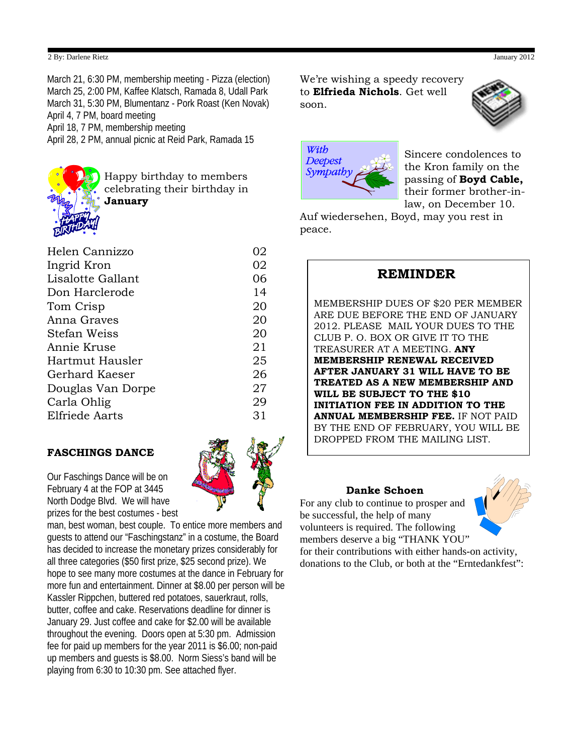#### 2 By: Darlene Rietz January 2012

March 21, 6:30 PM, membership meeting - Pizza (election) March 25, 2:00 PM, Kaffee Klatsch, Ramada 8, Udall Park March 31, 5:30 PM, Blumentanz - Pork Roast (Ken Novak) April 4, 7 PM, board meeting April 18, 7 PM, membership meeting

April 28, 2 PM, annual picnic at Reid Park, Ramada 15



Happy birthday to members celebrating their birthday in **January**

| Helen Cannizzo    | 02 |
|-------------------|----|
| Ingrid Kron       | 02 |
| Lisalotte Gallant | 06 |
| Don Harclerode    | 14 |
| Tom Crisp         | 20 |
| Anna Graves       | 20 |
| Stefan Weiss      | 20 |
| Annie Kruse       | 21 |
| Hartmut Hausler   | 25 |
| Gerhard Kaeser    | 26 |
| Douglas Van Dorpe | 27 |
| Carla Ohlig       | 29 |
| Elfriede Aarts    | 31 |
|                   |    |

### **FASCHINGS DANCE**

Our Faschings Dance will be on February 4 at the FOP at 3445 North Dodge Blvd. We will have prizes for the best costumes - best

man, best woman, best couple. To entice more members and guests to attend our "Faschingstanz" in a costume, the Board has decided to increase the monetary prizes considerably for all three categories (\$50 first prize, \$25 second prize). We hope to see many more costumes at the dance in February for more fun and entertainment. Dinner at \$8.00 per person will be Kassler Rippchen, buttered red potatoes, sauerkraut, rolls, butter, coffee and cake. Reservations deadline for dinner is January 29. Just coffee and cake for \$2.00 will be available throughout the evening. Doors open at 5:30 pm. Admission fee for paid up members for the year 2011 is \$6.00; non-paid up members and guests is \$8.00. Norm Siess's band will be playing from 6:30 to 10:30 pm. See attached flyer.

We're wishing a speedy recovery to **Elfrieda Nichols**. Get well soon.





Sincere condolences to the Kron family on the passing of **Boyd Cable,**  their former brother-inlaw, on December 10.

Auf wiedersehen, Boyd, may you rest in peace.

## **REMINDER**

MEMBERSHIP DUES OF \$20 PER MEMBER ARE DUE BEFORE THE END OF JANUARY 2012. PLEASE MAIL YOUR DUES TO THE CLUB P. O. BOX OR GIVE IT TO THE TREASURER AT A MEETING. **ANY MEMBERSHIP RENEWAL RECEIVED AFTER JANUARY 31 WILL HAVE TO BE TREATED AS A NEW MEMBERSHIP AND WILL BE SUBJECT TO THE \$10 INITIATION FEE IN ADDITION TO THE ANNUAL MEMBERSHIP FEE.** IF NOT PAID BY THE END OF FEBRUARY, YOU WILL BE DROPPED FROM THE MAILING LIST.

### **Danke Schoen**

For any club to continue to prosper and be successful, the help of many volunteers is required. The following members deserve a big "THANK YOU"

for their contributions with either hands-on activity, donations to the Club, or both at the "Erntedankfest":